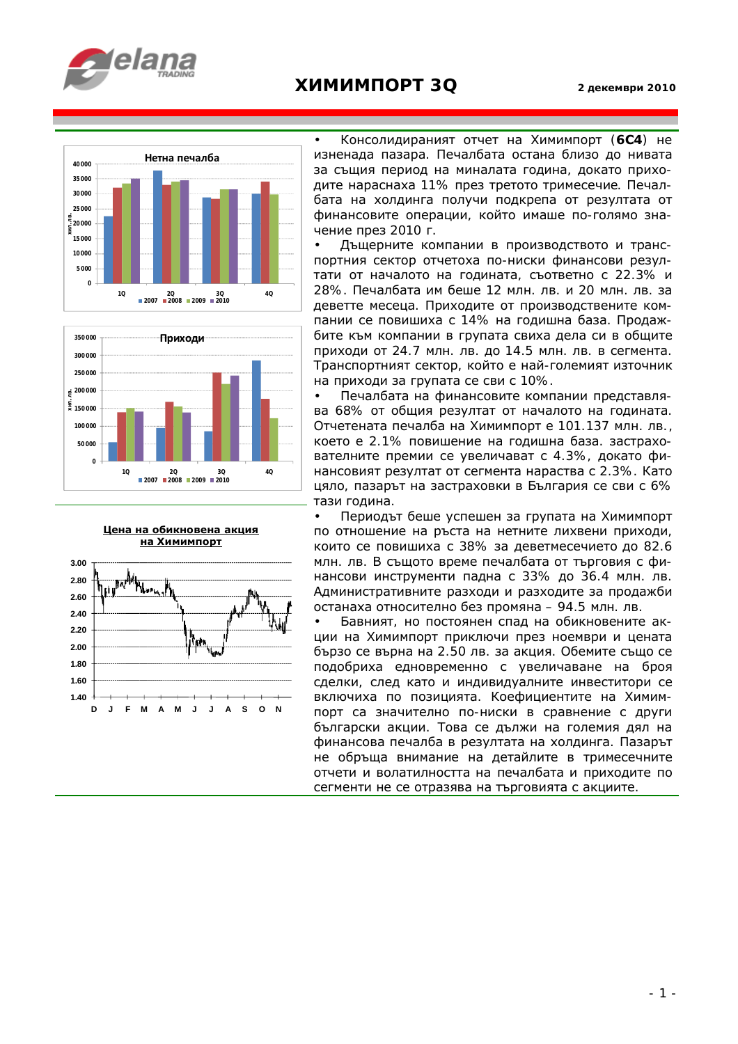

## **ХИМИМПОРТ 3Q 2 декември <sup>2010</sup>**





**Цена на обикновена акция на Химимпорт**



• Консолидираният отчет на Химимпорт (**6С4**) не изненада пазара. Печалбата остана близо до нивата за същия период на миналата година, докато приходите нараснаха 11% през третото тримесечие. Печалбата на холдинга получи подкрепа от резултата от финансовите операции, който имаше по-голямо значение през 2010 г.

• Дъщерните компании в производството и транспортния сектор отчетоха по-ниски финансови резултати от началото на годината, съответно с 22.3% и 28%. Печалбата им беше 12 млн. лв. и 20 млн. лв. за деветте месеца. Приходите от производствените компании се повишиха с 14% на годишна база. Продажбите към компании в групата свиха дела си в общите приходи от 24.7 млн. лв. до 14.5 млн. лв. в сегмента. Транспортният сектор, който е най-големият източник на приходи за групата се сви с 10%.

• Печалбата на финансовите компании представлява 68% от общия резултат от началото на годината. Отчетената печалба на Химимпорт е 101.137 млн. лв., което е 2.1% повишение на годишна база. застрахователните премии се увеличават с 4.3%, докато финансовият резултат от сегмента нараства с 2.3%. Като цяло, пазарът на застраховки в България се сви с 6% тази година.

• Периодът беше успешен за групата на Химимпорт по отношение на ръста на нетните лихвени приходи, които се повишиха с 38% за деветмесечието до 82.6 млн. лв. В същото време печалбата от търговия с финансови инструменти падна с 33% до 36.4 млн. лв. Административните разходи и разходите за продажби останаха относително без промяна – 94.5 млн. лв.

• Бавният, но постоянен спад на обикновените акции на Химимпорт приключи през ноември и цената бързо се върна на 2.50 лв. за акция. Обемите също се подобриха едновременно с увеличаване на броя сделки, след като и индивидуалните инвеститори се включиха по позицията. Коефициентите на Химимпорт са значително по-ниски в сравнение с други български акции. Това се дължи на големия дял на финансова печалба в резултата на холдинга. Пазарът не обръща внимание на детайлите в тримесечните отчети и волатилността на печалбата и приходите по сегменти не се отразява на търговията с акциите.